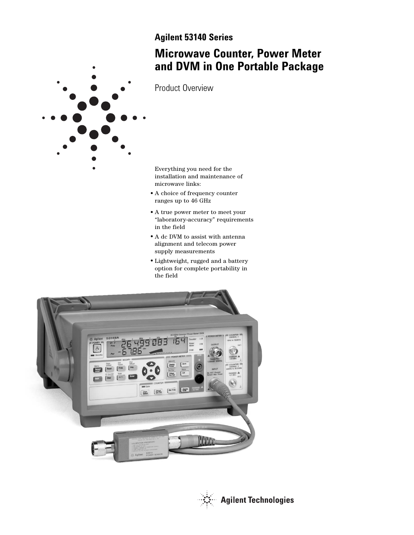# **Agilent 53140 Series**

# **Microwave Counter, Power Meter and DVM in One Portable Package**



Product Overview

Everything you need for the installation and maintenance of microwave links:

- A choice of frequency counter ranges up to 46 GHz
- A true power meter to meet your "laboratory-accuracy" requirements in the field
- $\bullet$  A dc DVM to assist with antenna alignment and telecom power supply measurements
- Lightweight, rugged and a battery option for complete portability in the field



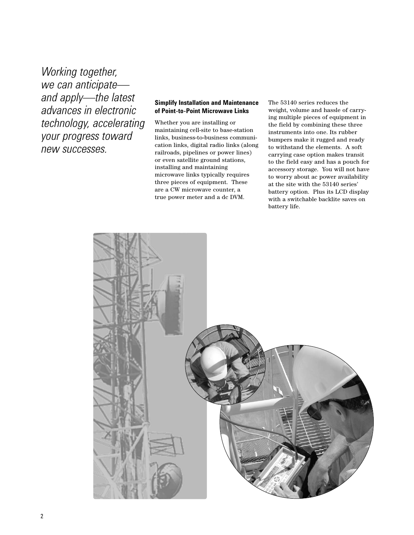*Working together, we can anticipate and apply—the latest advances in electronic technology, accelerating your progress toward new successes.* 

### **Simplify Installation and Maintenance of Point-to-Point Microwave Links**

Whether you are installing or maintaining cell-site to base-station links, business-to-business communication links, digital radio links (along railroads, pipelines or power lines) or even satellite ground stations, installing and maintaining microwave links typically requires three pieces of equipment. These are a CW microwave counter, a true power meter and a dc DVM.

The 53140 series reduces the weight, volume and hassle of carrying multiple pieces of equipment in the field by combining these three instruments into one. Its rubber bumpers make it rugged and ready to withstand the elements. A soft carrying case option makes transit to the field easy and has a pouch for accessory storage. You will not have to worry about ac power availability at the site with the 53140 series' battery option. Plus its LCD display with a switchable backlite saves on battery life.

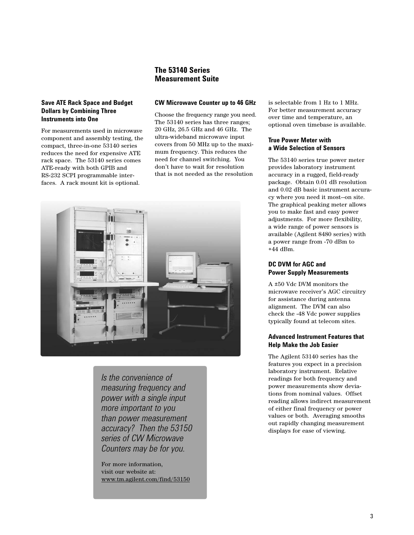## **The 53140 Series Measurement Suite**

## **Save ATE Rack Space and Budget Dollars by Combining Three Instruments into One**

For measurements used in microwave component and assembly testing, the compact, three-in-one 53140 series reduces the need for expensive ATE rack space. The 53140 series comes ATE-ready with both GPIB and RS-232 SCPI programmable interfaces. A rack mount kit is optional.

#### **CW Microwave Counter up to 46 GHz**

Choose the frequency range you need. The 53140 series has three ranges; 20 GHz, 26.5 GHz and 46 GHz. The ultra-wideband microwave input covers from 50 MHz up to the maximum frequency. This reduces the need for channel switching. You don't have to wait for resolution that is not needed as the resolution



*Is the convenience of measuring frequency and power with a single input more important to you than power measurement accuracy? Then the 53150 series of CW Microwave Counters may be for you.*

For more information, visit our website at: www.tm.agilent.com/find/53150 is selectable from 1 Hz to 1 MHz. For better measurement accuracy over time and temperature, an optional oven timebase is available.

## **True Power Meter with a Wide Selection of Sensors**

The 53140 series true power meter provides laboratory instrument accuracy in a rugged, field-ready package. Obtain 0.01 dB resolution and 0.02 dB basic instrument accuracy where you need it most—on site. The graphical peaking meter allows you to make fast and easy power adjustments. For more flexibility, a wide range of power sensors is available (Agilent 8480 series) with a power range from -70 dBm to +44 dBm.

## **DC DVM for AGC and Power Supply Measurements**

A ±50 Vdc DVM monitors the microwave receiver's AGC circuitry for assistance during antenna alignment. The DVM can also check the -48 Vdc power supplies typically found at telecom sites.

## **Advanced Instrument Features that Help Make the Job Easier**

The Agilent 53140 series has the features you expect in a precision laboratory instrument. Relative readings for both frequency and power measurements show deviations from nominal values. Offset reading allows indirect measurement of either final frequency or power values or both. Averaging smooths out rapidly changing measurement displays for ease of viewing.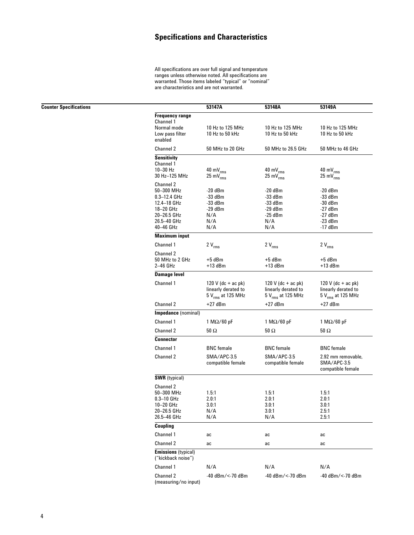# **Specifications and Characteristics**

All specifications are over full signal and temperature ranges unless otherwise noted. All specifications are warranted. Those items labeled "typical" or "nominal" are characteristics and are not warranted.

|                                                  | 53147A                         | 53148A                         | 53149A                         |
|--------------------------------------------------|--------------------------------|--------------------------------|--------------------------------|
| <b>Frequency range</b>                           |                                |                                |                                |
| Channel 1                                        |                                |                                |                                |
| Normal mode                                      | 10 Hz to 125 MHz               | 10 Hz to 125 MHz               | 10 Hz to 125 MHz               |
| Low pass filter<br>enabled                       | 10 Hz to 50 kHz                | 10 Hz to 50 kHz                | 10 Hz to 50 kHz                |
| Channel 2                                        | 50 MHz to 20 GHz               | 50 MHz to 26.5 GHz             | 50 MHz to 46 GHz               |
| <b>Sensitivity</b>                               |                                |                                |                                |
| Channel 1                                        |                                |                                |                                |
| $10-30$ Hz                                       | $40 \text{ mV}_{\text{rms}}$   | $40 \text{ mV}_{\text{rms}}$   | $40 \text{ mV}_{\text{rms}}$   |
| 30 Hz-125 MHz                                    | $25 \text{ mV}$ <sub>rms</sub> | $25 \text{ mV}$ <sub>rms</sub> | $25 \text{ mV}$ <sub>rms</sub> |
| Channel 2                                        |                                |                                |                                |
| 50-300 MHz                                       | -20 dBm                        | -20 dBm                        | -20 dBm                        |
| $0.3 - 12.4$ GHz                                 | $-33$ dBm                      | $-33$ dBm                      | $-33$ dBm                      |
| 12.4-18 GHz                                      | $-33$ dBm                      | -33 dBm                        | -30 dBm                        |
| 18-20 GHz                                        | -29 dBm                        | -29 dBm                        | -27 dBm                        |
| 20-26.5 GHz                                      | N/A                            | $-25$ dBm                      | -27 dBm                        |
|                                                  | N/A                            |                                |                                |
| 26.5-40 GHz<br>40-46 GHz                         |                                | N/A                            | $-23$ dBm<br>-17 dBm           |
|                                                  | N/A                            | N/A                            |                                |
| <b>Maximum input</b>                             |                                |                                |                                |
| Channel 1                                        | $2V_{rms}$                     | $2 V_{rms}$                    | $2V_{rms}$                     |
| <b>Channel 2</b>                                 |                                |                                |                                |
| 50 MHz to 2 GHz                                  | +5 dBm                         | +5 dBm                         | +5 dBm                         |
| 2-46 GHz                                         | $+13$ dBm                      | $+13$ dBm                      | $+13$ dBm                      |
| <b>Damage level</b>                              |                                |                                |                                |
| Channel 1                                        | 120 V (dc + ac pk)             | 120 V (dc + ac pk)             | 120 V (dc + ac pk)             |
|                                                  | linearly derated to            | linearly derated to            | linearly derated to            |
|                                                  | 5 V <sub>rms</sub> at 125 MHz  | 5 V <sub>rms</sub> at 125 MHz  | 5 V <sub>rms</sub> at 125 MHz  |
| Channel 2                                        | $+27$ dBm                      | $+27$ dBm                      | $+27$ dBm                      |
| Impedance (nominal)                              |                                |                                |                                |
| Channel 1                                        | $1 M\Omega/60 pF$              | $1 M\Omega/60 pF$              | $1 M\Omega/60 pF$              |
|                                                  |                                |                                |                                |
| Channel 2                                        | 50 Ω                           | $50\,\Omega$                   | 50 Ω                           |
| <b>Connector</b>                                 |                                |                                |                                |
| Channel 1                                        | <b>BNC</b> female              | <b>BNC</b> female              | <b>BNC</b> female              |
| Channel 2                                        | SMA/APC-3.5                    | SMA/APC-3.5                    | 2.92 mm removable,             |
|                                                  | compatible female              | compatible female              | SMA/APC-3.5                    |
|                                                  |                                |                                | compatible female              |
| <b>SWR</b> (typical)                             |                                |                                |                                |
| Channel 2                                        |                                |                                |                                |
| 50-300 MHz                                       | 1.5:1                          | 1.5:1                          | 1.5:1                          |
| $0.3 - 10$ GHz                                   | 2.0:1                          | 2.0:1                          | 2.0:1                          |
| 10-20 GHz                                        | 3.0:1                          | 3.0:1                          | 3.0:1                          |
| 20-26.5 GHz                                      | N/A                            | 3.0:1                          | 2.5:1                          |
| 26.5-46 GHz                                      | N/A                            | N/A                            | 2.5:1                          |
| Coupling                                         |                                |                                |                                |
| Channel 1                                        | ac                             | ac                             | ac                             |
| Channel 2                                        | ac                             | ac                             | ac                             |
| <b>Emissions</b> (typical)<br>("kickback noise") |                                |                                |                                |
| Channel 1                                        | N/A                            | N/A                            | N/A                            |
| Channel 2                                        | -40 dBm/<-70 dBm               | -40 dBm/<-70 dBm               | -40 dBm/<-70 dBm               |
| (measuring/no input)                             |                                |                                |                                |

**Counter Specifications**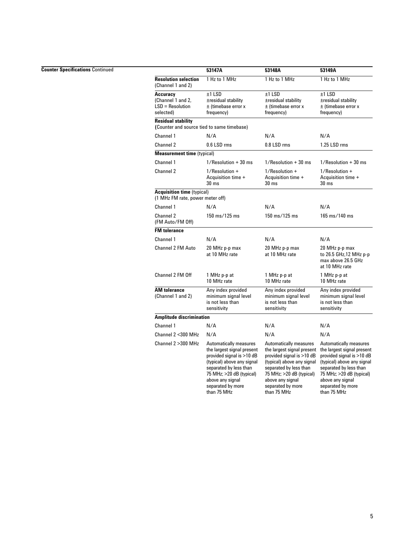#### **Counter Specifications** Continued

|                                                                         | 53147A                                                                                                                                                                                                                        | 53148A                                                                                                                                                                                                                        | 53149A                                                                                                                                                                                                                          |
|-------------------------------------------------------------------------|-------------------------------------------------------------------------------------------------------------------------------------------------------------------------------------------------------------------------------|-------------------------------------------------------------------------------------------------------------------------------------------------------------------------------------------------------------------------------|---------------------------------------------------------------------------------------------------------------------------------------------------------------------------------------------------------------------------------|
| <b>Resolution selection</b><br>(Channel 1 and 2)                        | 1 Hz to 1 MHz                                                                                                                                                                                                                 | 1 Hz to 1 MHz                                                                                                                                                                                                                 | 1 Hz to 1 MHz                                                                                                                                                                                                                   |
| Accuracy<br>(Channel 1 and 2,<br>$LSD = Resolution$<br>selected)        | $±1$ LSD<br>±residual stability<br>± (timebase error x<br>frequency)                                                                                                                                                          | $±1$ LSD<br>±residual stability<br>± (timebase error x<br>frequency)                                                                                                                                                          | $±1$ LSD<br>±residual stability<br>± (timebase error x<br>frequency)                                                                                                                                                            |
| <b>Residual stability</b><br>(Counter and source tied to same timebase) |                                                                                                                                                                                                                               |                                                                                                                                                                                                                               |                                                                                                                                                                                                                                 |
| Channel 1                                                               | N/A                                                                                                                                                                                                                           | N/A                                                                                                                                                                                                                           | N/A                                                                                                                                                                                                                             |
| Channel 2                                                               | 0.6 LSD rms                                                                                                                                                                                                                   | 0.8 LSD rms                                                                                                                                                                                                                   | 1.25 LSD rms                                                                                                                                                                                                                    |
| <b>Measurement time (typical)</b>                                       |                                                                                                                                                                                                                               |                                                                                                                                                                                                                               |                                                                                                                                                                                                                                 |
| Channel 1                                                               | $1/$ Resolution $+30$ ms                                                                                                                                                                                                      | $1/$ Resolution + 30 ms                                                                                                                                                                                                       | $1/$ Resolution + 30 ms                                                                                                                                                                                                         |
| Channel 2                                                               | $1/$ Resolution +<br>Acquisition time +<br>30 <sub>ms</sub>                                                                                                                                                                   | $1/$ Resolution +<br>Acquisition time +<br>30 <sub>ms</sub>                                                                                                                                                                   | $1/$ Resolution +<br>Acquisition time +<br>30 <sub>ms</sub>                                                                                                                                                                     |
| <b>Acquisition time (typical)</b><br>(1 MHz FM rate, power meter off)   |                                                                                                                                                                                                                               |                                                                                                                                                                                                                               |                                                                                                                                                                                                                                 |
| Channel 1                                                               | N/A                                                                                                                                                                                                                           | N/A                                                                                                                                                                                                                           | N/A                                                                                                                                                                                                                             |
| Channel 2<br>(FM Auto/FM Off)                                           | $150 \text{ ms} / 125 \text{ ms}$                                                                                                                                                                                             | 150 ms/125 ms                                                                                                                                                                                                                 | 165 ms/140 ms                                                                                                                                                                                                                   |
| <b>FM</b> tolerance                                                     |                                                                                                                                                                                                                               |                                                                                                                                                                                                                               |                                                                                                                                                                                                                                 |
| Channel 1                                                               | N/A                                                                                                                                                                                                                           | N/A                                                                                                                                                                                                                           | N/A                                                                                                                                                                                                                             |
| <b>Channel 2 FM Auto</b>                                                | 20 MHz p-p max<br>at 10 MHz rate                                                                                                                                                                                              | 20 MHz p-p max<br>at 10 MHz rate                                                                                                                                                                                              | 20 MHz p-p max<br>to 26.5 GHz, 12 MHz p-p<br>max above 26.5 GHz<br>at 10 MHz rate                                                                                                                                               |
| Channel 2 FM Off                                                        | 1 MHz p-p at<br>10 MHz rate                                                                                                                                                                                                   | 1 MHz p-p at<br>10 MHz rate                                                                                                                                                                                                   | 1 MHz p-p at<br>10 MHz rate                                                                                                                                                                                                     |
| <b>AM</b> tolerance<br>(Channel 1 and 2)                                | Any index provided<br>minimum signal level<br>is not less than<br>sensitivity                                                                                                                                                 | Any index provided<br>minimum signal level<br>is not less than<br>sensitivity                                                                                                                                                 | Any index provided<br>minimum signal level<br>is not less than<br>sensitivity                                                                                                                                                   |
| <b>Amplitude discrimination</b>                                         |                                                                                                                                                                                                                               |                                                                                                                                                                                                                               |                                                                                                                                                                                                                                 |
| Channel 1                                                               | N/A                                                                                                                                                                                                                           | N/A                                                                                                                                                                                                                           | N/A                                                                                                                                                                                                                             |
| Channel 2 < 300 MHz                                                     | N/A                                                                                                                                                                                                                           | N/A                                                                                                                                                                                                                           | N/A                                                                                                                                                                                                                             |
| Channel 2 > 300 MHz                                                     | Automatically measures<br>the largest signal present<br>provided signal is >10 dB<br>(typical) above any signal<br>separated by less than<br>75 MHz; >20 dB (typical)<br>above any signal<br>separated by more<br>than 75 MHz | Automatically measures<br>the largest signal present<br>provided signal is >10 dB<br>(typical) above any signal<br>separated by less than<br>75 MHz; >20 dB (typical)<br>above any signal<br>separated by more<br>than 75 MHz | Automatically measures<br>the largest signal present<br>provided signal is $>10$ dB<br>(typical) above any signal<br>separated by less than<br>75 MHz; >20 dB (typical)<br>above any signal<br>separated by more<br>than 75 MHz |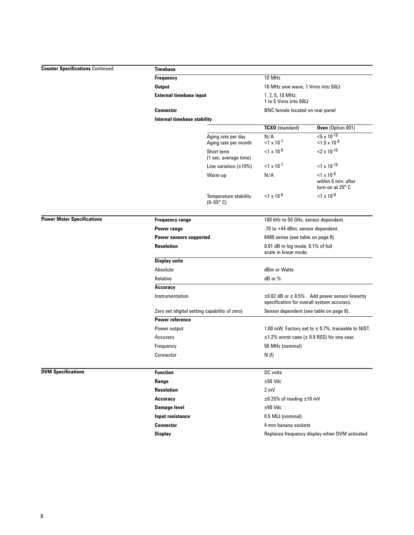**Power Meter Specifications**

| Timebase                                                                         |                                               |                                                                                                        |                                                                     |                             |
|----------------------------------------------------------------------------------|-----------------------------------------------|--------------------------------------------------------------------------------------------------------|---------------------------------------------------------------------|-----------------------------|
| <b>Frequency</b><br>Output<br><b>External timebase input</b><br><b>Connector</b> |                                               | 10 MHz                                                                                                 |                                                                     |                             |
|                                                                                  |                                               | 10 MHz sine wave, 1 Vrms into $50\Omega$                                                               |                                                                     |                             |
|                                                                                  |                                               | $1.2.5.10$ MHz:<br>1 to 5 Vrms into $50\Omega$<br>BNC female located on rear panel                     |                                                                     |                             |
|                                                                                  |                                               |                                                                                                        |                                                                     | Internal timebase stability |
|                                                                                  |                                               | <b>TCXO</b> (standard)                                                                                 | Oven (Option 001)                                                   |                             |
|                                                                                  | Aging rate per day<br>Aging rate per month    | N/A<br>$<$ 1 x 10 <sup>-7</sup>                                                                        | ${<}5 \times 10^{-10}$<br>$<$ 1.5 x 10 <sup>-8</sup>                |                             |
|                                                                                  | Short term<br>(1 sec. average time)           | $1 \times 10^{-9}$                                                                                     | $2 \times 10^{-10}$                                                 |                             |
|                                                                                  | Line variation $(\pm 10\%)$                   | $<$ 1 x 10 <sup>-7</sup>                                                                               | $<$ 1 x 10 <sup>-10</sup>                                           |                             |
|                                                                                  | Warm-up                                       | N/A                                                                                                    | $<$ 1 x 10 <sup>-8</sup><br>within 5 min. after<br>turn-on at 25° C |                             |
|                                                                                  | Temperature stability<br>$(0 - 55^{\circ} C)$ | $<$ 1 x 10 <sup>-6</sup>                                                                               | $< 1 \times 10^{-8}$                                                |                             |
| <b>Frequency range</b>                                                           |                                               | 100 kHz to 50 GHz, sensor dependent.                                                                   |                                                                     |                             |
| Power range                                                                      |                                               | -70 to +44 dBm, sensor dependent.                                                                      |                                                                     |                             |
| <b>Power sensors supported</b>                                                   |                                               | 8480 series (see table on page 8)                                                                      |                                                                     |                             |
| <b>Resolution</b>                                                                |                                               | 0.01 dB in log mode, 0.1% of full<br>scale in linear mode.                                             |                                                                     |                             |
| <b>Display units</b>                                                             |                                               |                                                                                                        |                                                                     |                             |
| Absolute                                                                         |                                               | dBm or Watts                                                                                           |                                                                     |                             |
| Relative                                                                         |                                               | dB or %                                                                                                |                                                                     |                             |
| Accuracy                                                                         |                                               |                                                                                                        |                                                                     |                             |
| Instrumentation                                                                  |                                               | $\pm 0.02$ dB or $\pm 0.5$ %. Add power sensor linearity<br>specification for overall system accuracy. |                                                                     |                             |
|                                                                                  | Zero set (digital setting capability of zero) | Sensor dependent (see table on page 8).                                                                |                                                                     |                             |
| <b>Power reference</b>                                                           |                                               |                                                                                                        |                                                                     |                             |
| Power output                                                                     |                                               | 1.00 mW. Factory set to $\pm$ 0.7%, traceable to NIST.                                                 |                                                                     |                             |
| Accuracy                                                                         |                                               | $\pm$ 1.2% worst case ( $\pm$ 0.9 RSS) for one year.                                                   |                                                                     |                             |
| Frequency                                                                        |                                               | 50 MHz (nominal)                                                                                       |                                                                     |                             |
| Connector                                                                        |                                               | N(f)                                                                                                   |                                                                     |                             |
| <b>Function</b>                                                                  |                                               | DC volts                                                                                               |                                                                     |                             |
| Range                                                                            |                                               | $±50$ Vdc                                                                                              |                                                                     |                             |
| <b>Resolution</b>                                                                |                                               | $2 \text{ mV}$                                                                                         |                                                                     |                             |
| Accuracy                                                                         |                                               | $\pm 0.25\%$ of reading $\pm 10$ mV                                                                    |                                                                     |                             |
| <b>Damage level</b>                                                              |                                               | $\pm 60$ Vdc                                                                                           |                                                                     |                             |
| Input resistance                                                                 |                                               | $0.5 \text{ M}\Omega$ (nominal)                                                                        |                                                                     |                             |

**Connector** 4 mm banana sockets

**Display Display Replaces frequency display when DVM activated** 

**DVM Specifications**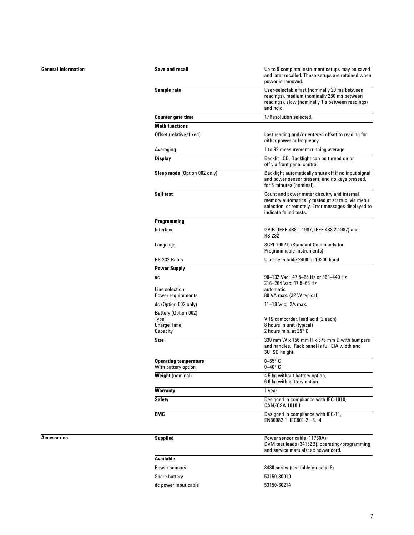## **General Information**

| Save and recall                                     | Up to 9 complete instrument setups may be saved<br>and later recalled. These setups are retained when<br>power is removed.                                                        |
|-----------------------------------------------------|-----------------------------------------------------------------------------------------------------------------------------------------------------------------------------------|
| Sample rate                                         | User-selectable fast (nominally 20 ms between<br>readings), medium (nominally 250 ms between<br>readings), slow (nominally 1 s between readings)<br>and hold.                     |
| <b>Counter gate time</b>                            | 1/Resolution selected.                                                                                                                                                            |
| <b>Math functions</b>                               |                                                                                                                                                                                   |
| Offset (relative/fixed)                             | Last reading and/or entered offset to reading for<br>either power or frequency                                                                                                    |
| Averaging                                           | 1 to 99 measurement running average                                                                                                                                               |
| <b>Display</b>                                      | Backlit LCD. Backlight can be turned on or<br>off via front panel control.                                                                                                        |
| Sleep mode (Option 002 only)                        | Backlight automatically shuts off if no input signal<br>and power sensor present, and no keys pressed,<br>for 5 minutes (nominal).                                                |
| <b>Self test</b>                                    | Count and power meter circuitry and internal<br>memory automatically tested at startup, via menu<br>selection, or remotely. Error messages displayed to<br>indicate failed tests. |
| Programming                                         |                                                                                                                                                                                   |
| Interface                                           | GPIB (IEEE-488.1-1987, IEEE 488.2-1987) and<br><b>RS-232</b>                                                                                                                      |
| Language                                            | SCPI-1992.0 (Standard Commands for<br>Programmable Instruments)                                                                                                                   |
| RS-232 Rates                                        | User selectable 2400 to 19200 baud                                                                                                                                                |
| <b>Power Supply</b>                                 |                                                                                                                                                                                   |
| ac<br>Line selection                                | 90–132 Vac: 47.5–66 Hz or 360–440 Hz<br>216-264 Vac; 47.5-66 Hz<br>automatic                                                                                                      |
| Power requirements                                  | 80 VA max. (32 W typical)                                                                                                                                                         |
| dc (Option 002 only)                                | 11–18 Vdc; 2A max.                                                                                                                                                                |
| Battery (Option 002)                                |                                                                                                                                                                                   |
| Type<br><b>Charge Time</b>                          | VHS camcorder, lead acid (2 each)<br>8 hours in unit (typical)                                                                                                                    |
| Capacity                                            | 2 hours min. at 25° C                                                                                                                                                             |
| <b>Size</b>                                         | 330 mm W x 156 mm H x 376 mm D with bumpers<br>and handles. Rack panel is full EIA width and<br>3U ISO height.                                                                    |
| <b>Operating temperature</b><br>With battery option | $0 - 55^\circ$ C<br>0–40° C                                                                                                                                                       |
| <b>Weight (nominal)</b>                             | 4.5 kg without battery option,<br>6.6 kg with battery option                                                                                                                      |
| <b>Warranty</b>                                     | 1 year                                                                                                                                                                            |
| <b>Safety</b>                                       | Designed in compliance with IEC-1010,<br>CAN/CSA 1010.1                                                                                                                           |
| <b>EMC</b>                                          | Designed in compliance with IEC-11,<br>EN50082-1, IEC801-2, -3, -4.                                                                                                               |
| <b>Supplied</b>                                     | Power sensor cable (11730A);<br>DVM test leads (34132B); operating/programming<br>and service manuals; ac power cord.                                                             |
| <b>Available</b>                                    |                                                                                                                                                                                   |
| Power sensors                                       | 8480 series (see table on page 8)                                                                                                                                                 |
| Spare battery                                       | 53150-80010                                                                                                                                                                       |
| dc power input cable                                | 53150-60214                                                                                                                                                                       |

#### **Accessories**